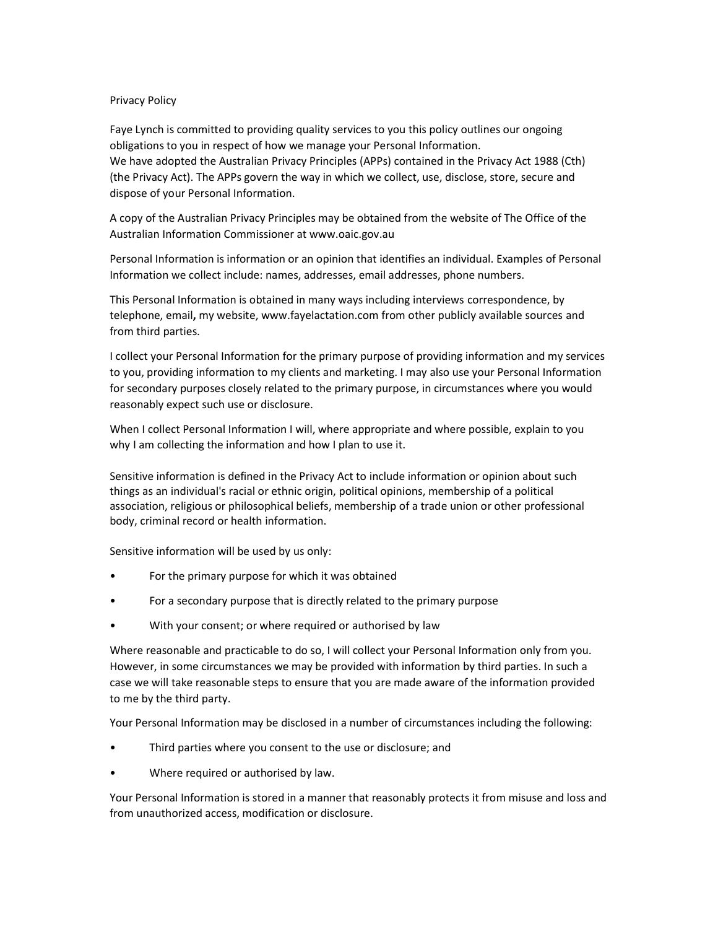## Privacy Policy

Faye Lynch is committed to providing quality services to you this policy outlines our ongoing obligations to you in respect of how we manage your Personal Information. We have adopted the Australian Privacy Principles (APPs) contained in the Privacy Act 1988 (Cth) (the Privacy Act). The APPs govern the way in which we collect, use, disclose, store, secure and dispose of your Personal Information.

A copy of the Australian Privacy Principles may be obtained from the website of The Office of the Australian Information Commissioner at www.oaic.gov.au

Personal Information is information or an opinion that identifies an individual. Examples of Personal Information we collect include: names, addresses, email addresses, phone numbers.

This Personal Information is obtained in many ways including interviews correspondence, by telephone, email, my website, www.fayelactation.com from other publicly available sources and from third parties.

I collect your Personal Information for the primary purpose of providing information and my services to you, providing information to my clients and marketing. I may also use your Personal Information for secondary purposes closely related to the primary purpose, in circumstances where you would reasonably expect such use or disclosure.

When I collect Personal Information I will, where appropriate and where possible, explain to you why I am collecting the information and how I plan to use it.

Sensitive information is defined in the Privacy Act to include information or opinion about such things as an individual's racial or ethnic origin, political opinions, membership of a political association, religious or philosophical beliefs, membership of a trade union or other professional body, criminal record or health information.

Sensitive information will be used by us only:

- For the primary purpose for which it was obtained
- For a secondary purpose that is directly related to the primary purpose
- With your consent; or where required or authorised by law

Where reasonable and practicable to do so, I will collect your Personal Information only from you. However, in some circumstances we may be provided with information by third parties. In such a case we will take reasonable steps to ensure that you are made aware of the information provided to me by the third party.

Your Personal Information may be disclosed in a number of circumstances including the following:

- Third parties where you consent to the use or disclosure; and
- Where required or authorised by law.

Your Personal Information is stored in a manner that reasonably protects it from misuse and loss and from unauthorized access, modification or disclosure.